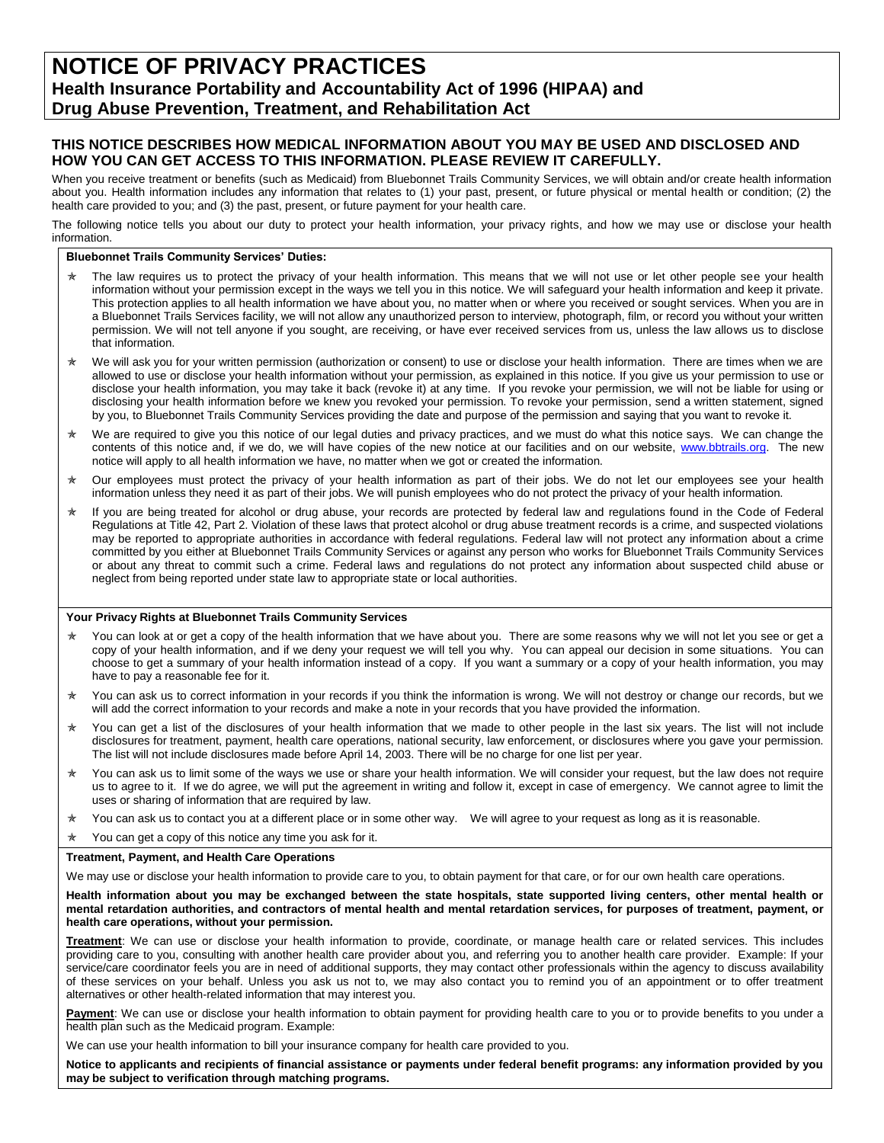# **NOTICE OF PRIVACY PRACTICES Health Insurance Portability and Accountability Act of 1996 (HIPAA) and Drug Abuse Prevention, Treatment, and Rehabilitation Act**

# **THIS NOTICE DESCRIBES HOW MEDICAL INFORMATION ABOUT YOU MAY BE USED AND DISCLOSED AND HOW YOU CAN GET ACCESS TO THIS INFORMATION. PLEASE REVIEW IT CAREFULLY.**

When you receive treatment or benefits (such as Medicaid) from Bluebonnet Trails Community Services, we will obtain and/or create health information about you. Health information includes any information that relates to (1) your past, present, or future physical or mental health or condition; (2) the health care provided to you; and (3) the past, present, or future payment for your health care.

The following notice tells you about our duty to protect your health information, your privacy rights, and how we may use or disclose your health information.

### **Bluebonnet Trails Community Services' Duties:**

- $*$  The law requires us to protect the privacy of your health information. This means that we will not use or let other people see your health information without your permission except in the ways we tell you in this notice. We will safeguard your health information and keep it private. This protection applies to all health information we have about you, no matter when or where you received or sought services. When you are in a Bluebonnet Trails Services facility, we will not allow any unauthorized person to interview, photograph, film, or record you without your written permission. We will not tell anyone if you sought, are receiving, or have ever received services from us, unless the law allows us to disclose that information.
- $*$  We will ask you for your written permission (authorization or consent) to use or disclose your health information. There are times when we are allowed to use or disclose your health information without your permission, as explained in this notice. If you give us your permission to use or disclose your health information, you may take it back (revoke it) at any time. If you revoke your permission, we will not be liable for using or disclosing your health information before we knew you revoked your permission. To revoke your permission, send a written statement, signed by you, to Bluebonnet Trails Community Services providing the date and purpose of the permission and saying that you want to revoke it.
- $\star$  We are required to give you this notice of our legal duties and privacy practices, and we must do what this notice says. We can change the contents of this notice and, if we do, we will have copies of the new notice at our facilities and on our website, [www.bbtrails.org.](http://www.bbtrails.org/) The new notice will apply to all health information we have, no matter when we got or created the information.
- $\star$  Our employees must protect the privacy of your health information as part of their jobs. We do not let our employees see your health information unless they need it as part of their jobs. We will punish employees who do not protect the privacy of your health information.
- \* If you are being treated for alcohol or drug abuse, your records are protected by federal law and regulations found in the Code of Federal Regulations at Title 42, Part 2. Violation of these laws that protect alcohol or drug abuse treatment records is a crime, and suspected violations may be reported to appropriate authorities in accordance with federal regulations. Federal law will not protect any information about a crime committed by you either at Bluebonnet Trails Community Services or against any person who works for Bluebonnet Trails Community Services or about any threat to commit such a crime. Federal laws and regulations do not protect any information about suspected child abuse or neglect from being reported under state law to appropriate state or local authorities.

#### **Your Privacy Rights at Bluebonnet Trails Community Services**

- $\star$  You can look at or get a copy of the health information that we have about you. There are some reasons why we will not let you see or get a copy of your health information, and if we deny your request we will tell you why. You can appeal our decision in some situations. You can choose to get a summary of your health information instead of a copy. If you want a summary or a copy of your health information, you may have to pay a reasonable fee for it.
- ★ You can ask us to correct information in your records if you think the information is wrong. We will not destroy or change our records, but we will add the correct information to your records and make a note in your records that you have provided the information.
- $\star$  You can get a list of the disclosures of your health information that we made to other people in the last six years. The list will not include disclosures for treatment, payment, health care operations, national security, law enforcement, or disclosures where you gave your permission. The list will not include disclosures made before April 14, 2003. There will be no charge for one list per year.
- $\star$  You can ask us to limit some of the ways we use or share your health information. We will consider your request, but the law does not require us to agree to it. If we do agree, we will put the agreement in writing and follow it, except in case of emergency. We cannot agree to limit the uses or sharing of information that are required by law.
- $\star$  You can ask us to contact you at a different place or in some other way. We will agree to your request as long as it is reasonable.
- You can get a copy of this notice any time you ask for it.

#### **Treatment, Payment, and Health Care Operations**

We may use or disclose your health information to provide care to you, to obtain payment for that care, or for our own health care operations.

#### **Health information about you may be exchanged between the state hospitals, state supported living centers, other mental health or mental retardation authorities, and contractors of mental health and mental retardation services, for purposes of treatment, payment, or health care operations, without your permission.**

**Treatment**: We can use or disclose your health information to provide, coordinate, or manage health care or related services. This includes providing care to you, consulting with another health care provider about you, and referring you to another health care provider. Example: If your service/care coordinator feels you are in need of additional supports, they may contact other professionals within the agency to discuss availability of these services on your behalf. Unless you ask us not to, we may also contact you to remind you of an appointment or to offer treatment alternatives or other health-related information that may interest you.

Payment: We can use or disclose your health information to obtain payment for providing health care to you or to provide benefits to you under a health plan such as the Medicaid program. Example:

We can use your health information to bill your insurance company for health care provided to you.

**Notice to applicants and recipients of financial assistance or payments under federal benefit programs: any information provided by you may be subject to verification through matching programs.**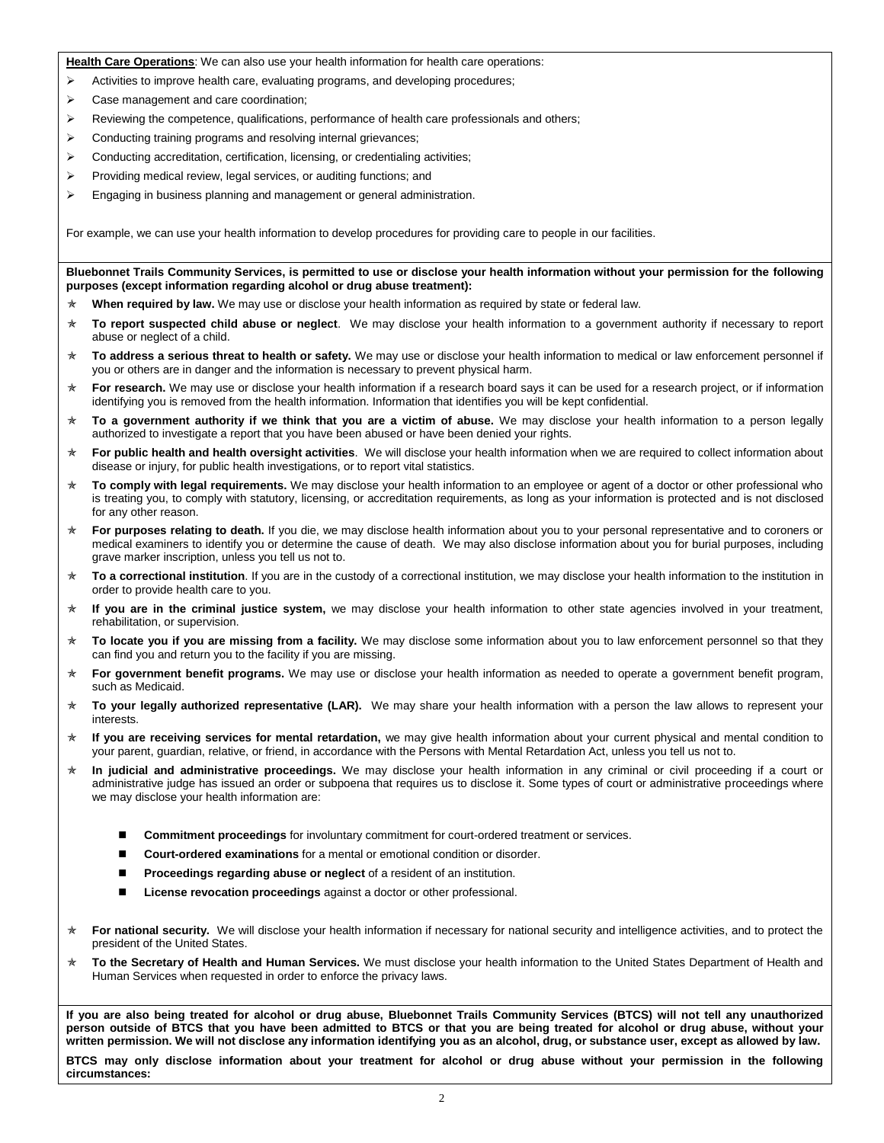**Health Care Operations**: We can also use your health information for health care operations:

- $\triangleright$  Activities to improve health care, evaluating programs, and developing procedures;
- Case management and care coordination;
- $\triangleright$  Reviewing the competence, qualifications, performance of health care professionals and others;
- $\triangleright$  Conducting training programs and resolving internal grievances;
- $\triangleright$  Conducting accreditation, certification, licensing, or credentialing activities;
- $\triangleright$  Providing medical review, legal services, or auditing functions; and
- $\triangleright$  Engaging in business planning and management or general administration.

For example, we can use your health information to develop procedures for providing care to people in our facilities.

**Bluebonnet Trails Community Services, is permitted to use or disclose your health information without your permission for the following purposes (except information regarding alcohol or drug abuse treatment):**

- **When required by law.** We may use or disclose your health information as required by state or federal law.
- **To report suspected child abuse or neglect**. We may disclose your health information to a government authority if necessary to report abuse or neglect of a child.
- **To address a serious threat to health or safety.** We may use or disclose your health information to medical or law enforcement personnel if you or others are in danger and the information is necessary to prevent physical harm.
- **★ For research.** We may use or disclose your health information if a research board says it can be used for a research project, or if information identifying you is removed from the health information. Information that identifies you will be kept confidential.
- **To a government authority if we think that you are a victim of abuse.** We may disclose your health information to a person legally authorized to investigate a report that you have been abused or have been denied your rights.
- **For public health and health oversight activities**. We will disclose your health information when we are required to collect information about disease or injury, for public health investigations, or to report vital statistics.
- **To comply with legal requirements.** We may disclose your health information to an employee or agent of a doctor or other professional who is treating you, to comply with statutory, licensing, or accreditation requirements, as long as your information is protected and is not disclosed for any other reason.
- **★ For purposes relating to death.** If you die, we may disclose health information about you to your personal representative and to coroners or medical examiners to identify you or determine the cause of death. We may also disclose information about you for burial purposes, including grave marker inscription, unless you tell us not to.
- **To a correctional institution**. If you are in the custody of a correctional institution, we may disclose your health information to the institution in order to provide health care to you.
- **If you are in the criminal justice system,** we may disclose your health information to other state agencies involved in your treatment, rehabilitation, or supervision.
- **To locate you if you are missing from a facility.** We may disclose some information about you to law enforcement personnel so that they can find you and return you to the facility if you are missing.
- **For government benefit programs.** We may use or disclose your health information as needed to operate a government benefit program, such as Medicaid.
- **★ To your legally authorized representative (LAR).** We may share your health information with a person the law allows to represent your interests.
- **If you are receiving services for mental retardation,** we may give health information about your current physical and mental condition to your parent, guardian, relative, or friend, in accordance with the Persons with Mental Retardation Act, unless you tell us not to.
- **In judicial and administrative proceedings.** We may disclose your health information in any criminal or civil proceeding if a court or administrative judge has issued an order or subpoena that requires us to disclose it. Some types of court or administrative proceedings where we may disclose your health information are:
	- **Commitment proceedings** for involuntary commitment for court-ordered treatment or services.
	- **Court-ordered examinations** for a mental or emotional condition or disorder.
	- **Proceedings regarding abuse or neglect** of a resident of an institution.
	- License revocation proceedings against a doctor or other professional.
- **★ For national security.** We will disclose your health information if necessary for national security and intelligence activities, and to protect the president of the United States.
- **To the Secretary of Health and Human Services.** We must disclose your health information to the United States Department of Health and Human Services when requested in order to enforce the privacy laws.

**If you are also being treated for alcohol or drug abuse, Bluebonnet Trails Community Services (BTCS) will not tell any unauthorized person outside of BTCS that you have been admitted to BTCS or that you are being treated for alcohol or drug abuse, without your written permission. We will not disclose any information identifying you as an alcohol, drug, or substance user, except as allowed by law. BTCS may only disclose information about your treatment for alcohol or drug abuse without your permission in the following circumstances:**